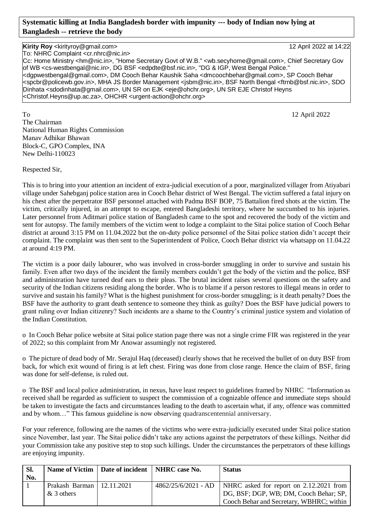# **Systematic killing at India Bangladesh border with impunity --- body of Indian now lying at Bangladesh -- retrieve the body**

**Kirity Roy** <kirityroy@gmail.com> 12 April 2022 at 14:22 To: NHRC Complaint <cr.nhrc@nic.in> Cc: Home Ministry <hm@nic.in>, "Home Secretary Govt of W.B." <wb.secyhome@gmail.com>, Chief Secretary Gov of WB <cs-westbengal@nic.in>, DG BSF <edpdte@bsf.nic.in>, "DG & IGP, West Bengal Police." <dgpwestbengal@gmail.com>, DM Cooch Behar Kaushik Saha <dmcoochbehar@gmail.com>, SP Cooch Behar <spcbr@policewb.gov.in>, MHA JS Border Management <jsbm@nic.in>, BSF North Bengal <ftrnb@bsf.nic.in>, SDO Dinhata <sdodinhata@gmail.com>, UN SR on EJK <eje@ohchr.org>, UN SR EJE Christof Heyns <Christof.Heyns@up.ac.za>, OHCHR <urgent-action@ohchr.org>

To 12 April 2022 The Chairman National Human Rights Commission Manav Adhikar Bhawan Block-C, GPO Complex, INA New Delhi-110023

Respected Sir,

This is to bring into your attention an incident of extra-judicial execution of a poor, marginalized villager from Atiyabari village under Sahebganj police station area in Cooch Behar district of West Bengal. The victim suffered a fatal injury on his chest after the perpetrator BSF personnel attached with Padma BSF BOP, 75 Battalion fired shots at the victim. The victim, critically injured, in an attempt to escape, entered Bangladeshi territory, where he succumbed to his injuries. Later personnel from Aditmari police station of Bangladesh came to the spot and recovered the body of the victim and sent for autopsy. The family members of the victim went to lodge a complaint to the Sitai police station of Cooch Behar district at around 3:15 PM on 11.04.2022 but the on-duty police personnel of the Sitai police station didn't accept their complaint. The complaint was then sent to the Superintendent of Police, Cooch Behar district via whatsapp on 11.04.22 at around 4:19 PM.

The victim is a poor daily labourer, who was involved in cross-border smuggling in order to survive and sustain his family. Even after two days of the incident the family members couldn't get the body of the victim and the police, BSF and administration have turned deaf ears to their pleas. The brutal incident raises several questions on the safety and security of the Indian citizens residing along the border. Who is to blame if a person restores to illegal means in order to survive and sustain his family? What is the highest punishment for cross-border smuggling; is it death penalty? Does the BSF have the authority to grant death sentence to someone they think as guilty? Does the BSF have judicial powers to grant ruling over Indian citizenry? Such incidents are a shame to the Country's criminal justice system and violation of the Indian Constitution.

o In Cooch Behar police website at Sitai police station page there was not a single crime FIR was registered in the year of 2022; so this complaint from Mr Anowar assumingly not registered.

o The picture of dead body of Mr. Serajul Haq (deceased) clearly shows that he received the bullet of on duty BSF from back, for which exit wound of firing is at left chest. Firing was done from close range. Hence the claim of BSF, firing was done for self-defense, is ruled out.

o The BSF and local police administration, in nexus, have least respect to guidelines framed by NHRC "Information as received shall be regarded as sufficient to suspect the commission of a cognizable offence and immediate steps should be taken to investigate the facts and circumstances leading to the death to ascertain what, if any, offence was committed and by whom…" This famous guideline is now observing quadranscentennial anniversary.

For your reference, following are the names of the victims who were extra-judicially executed under Sitai police station since November, last year. The Sitai police didn't take any actions against the perpetrators of these killings. Neither did your Commission take any positive step to stop such killings. Under the circumstances the perpetrators of these killings are enjoying impunity.

| SI. |                                             | Name of Victim   Date of incident   NHRC case No. | <b>Status</b>                                                                                                                                       |
|-----|---------------------------------------------|---------------------------------------------------|-----------------------------------------------------------------------------------------------------------------------------------------------------|
| No. |                                             |                                                   |                                                                                                                                                     |
|     | Prakash Barman   12.11.2021<br>$&$ 3 others |                                                   | 4862/25/6/2021 - AD   NHRC asked for report on 2.12.2021 from<br>DG, BSF; DGP, WB; DM, Cooch Behar; SP,<br>Cooch Behar and Secretary, WBHRC; within |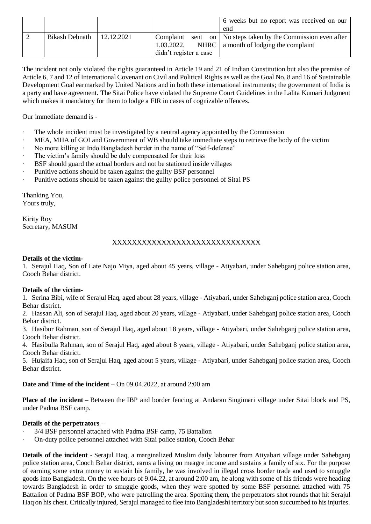|                             |                        |  |  | 6 weeks but no report was received on our                       |
|-----------------------------|------------------------|--|--|-----------------------------------------------------------------|
|                             |                        |  |  | end                                                             |
| Bikash Debnath   12.12.2021 |                        |  |  | Complaint sent on   No steps taken by the Commission even after |
|                             |                        |  |  | 1.03.2022. NHRC $\vert$ a month of lodging the complaint        |
|                             | didn't register a case |  |  |                                                                 |

The incident not only violated the rights guaranteed in Article 19 and 21 of Indian Constitution but also the premise of Article 6, 7 and 12 of International Covenant on Civil and Political Rights as well as the Goal No. 8 and 16 of Sustainable Development Goal earmarked by United Nations and in both these international instruments; the government of India is a party and have agreement. The Sitai Police have violated the Supreme Court Guidelines in the Lalita Kumari Judgment which makes it mandatory for them to lodge a FIR in cases of cognizable offences.

Our immediate demand is -

- The whole incident must be investigated by a neutral agency appointed by the Commission
- MEA, MHA of GOI and Government of WB should take immediate steps to retrieve the body of the victim
- No more killing at Indo Bangladesh border in the name of "Self-defense"
- The victim's family should be duly compensated for their loss
- BSF should guard the actual borders and not be stationed inside villages
- Punitive actions should be taken against the guilty BSF personnel
- Punitive actions should be taken against the guilty police personnel of Sitai PS

Thanking You, Yours truly,

Kirity Roy Secretary, MASUM

# XXXXXXXXXXXXXXXXXXXXXXXXXXXXXX

### **Details of the victim-**

1. Serajul Haq, Son of Late Najo Miya, aged about 45 years, village - Atiyabari, under Sahebganj police station area, Cooch Behar district.

#### **Details of the victim-**

1. Serina Bibi, wife of Serajul Haq, aged about 28 years, village - Atiyabari, under Sahebganj police station area, Cooch Behar district.

2. Hassan Ali, son of Serajul Haq, aged about 20 years, village - Atiyabari, under Sahebganj police station area, Cooch Behar district.

3. Hasibur Rahman, son of Serajul Haq, aged about 18 years, village - Atiyabari, under Sahebganj police station area, Cooch Behar district.

4. Hasibulla Rahman, son of Serajul Haq, aged about 8 years, village - Atiyabari, under Sahebganj police station area, Cooch Behar district.

5. Hujaifa Haq, son of Serajul Haq, aged about 5 years, village - Atiyabari, under Sahebganj police station area, Cooch Behar district.

**Date and Time of the incident –** On 09.04.2022, at around 2:00 am

**Place of the incident** – Between the IBP and border fencing at Andaran Singimari village under Sitai block and PS, under Padma BSF camp.

# **Details of the perpetrators** –

- 3/4 BSF personnel attached with Padma BSF camp, 75 Battalion
- · On-duty police personnel attached with Sitai police station, Cooch Behar

**Details of the incident -** Serajul Haq, a marginalized Muslim daily labourer from Atiyabari village under Sahebganj police station area, Cooch Behar district, earns a living on meagre income and sustains a family of six. For the purpose of earning some extra money to sustain his family, he was involved in illegal cross border trade and used to smuggle goods into Bangladesh. On the wee hours of 9.04.22, at around 2:00 am, he along with some of his friends were heading towards Bangladesh in order to smuggle goods, when they were spotted by some BSF personnel attached with 75 Battalion of Padma BSF BOP, who were patrolling the area. Spotting them, the perpetrators shot rounds that hit Serajul Haq on his chest. Critically injured, Serajul managed to flee into Bangladeshi territory but soon succumbed to his injuries.